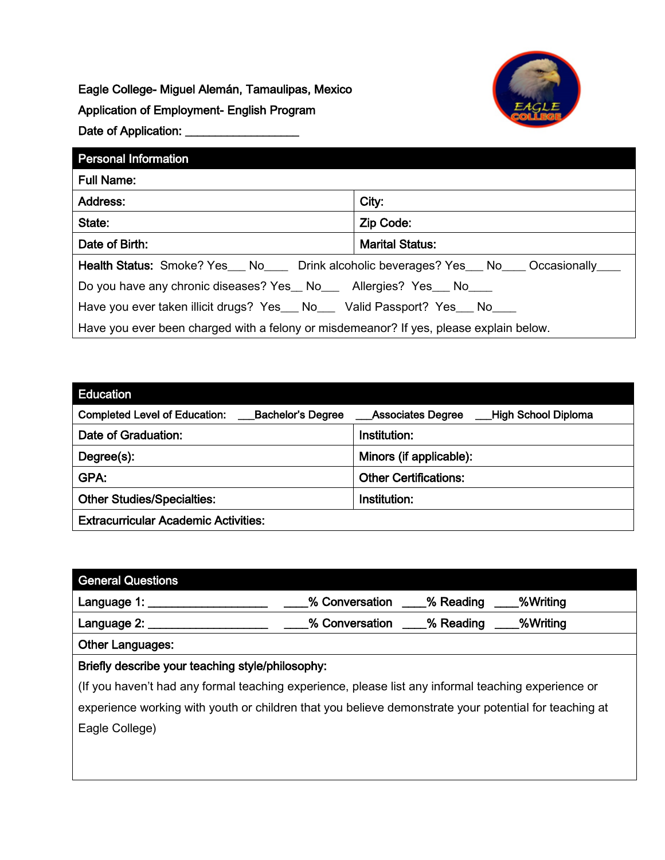Eagle College- Miguel Alemán, Tamaulipas, Mexico Application of Employment- English Program Date of Application: \_\_\_\_\_\_\_\_\_\_\_\_\_\_\_\_\_\_\_



| <b>Personal Information</b>                                                                          |                        |  |
|------------------------------------------------------------------------------------------------------|------------------------|--|
| <b>Full Name:</b>                                                                                    |                        |  |
| Address:                                                                                             | City:                  |  |
| State:                                                                                               | Zip Code:              |  |
| Date of Birth:                                                                                       | <b>Marital Status:</b> |  |
| <b>Health Status:</b> Smoke? Yes __ No____ Drink alcoholic beverages? Yes __ No ___ Occasionally ___ |                        |  |
| Do you have any chronic diseases? Yes_ No__ Allergies? Yes_ No__                                     |                        |  |
| Have you ever taken illicit drugs? Yes___ No___ Valid Passport? Yes___ No____                        |                        |  |
| Have you ever been charged with a felony or misdemeanor? If yes, please explain below.               |                        |  |

| <b>Education</b>                                                 |                                           |
|------------------------------------------------------------------|-------------------------------------------|
| <b>Completed Level of Education:</b><br><b>Bachelor's Degree</b> | High School Diploma<br>_Associates Degree |
| Date of Graduation:                                              | Institution:                              |
| Degree(s):                                                       | Minors (if applicable):                   |
| GPA:                                                             | <b>Other Certifications:</b>              |
| <b>Other Studies/Specialties:</b>                                | Institution:                              |
| <b>Extracurricular Academic Activities:</b>                      |                                           |

| <b>General Questions</b>                                                                              |                                              |  |
|-------------------------------------------------------------------------------------------------------|----------------------------------------------|--|
|                                                                                                       | % Conversation<br>____% Reading<br>_%Writing |  |
|                                                                                                       | % Conversation<br>% Reading<br>_%Writing     |  |
| <b>Other Languages:</b>                                                                               |                                              |  |
| Briefly describe your teaching style/philosophy:                                                      |                                              |  |
| (If you haven't had any formal teaching experience, please list any informal teaching experience or   |                                              |  |
| experience working with youth or children that you believe demonstrate your potential for teaching at |                                              |  |
| Eagle College)                                                                                        |                                              |  |
|                                                                                                       |                                              |  |